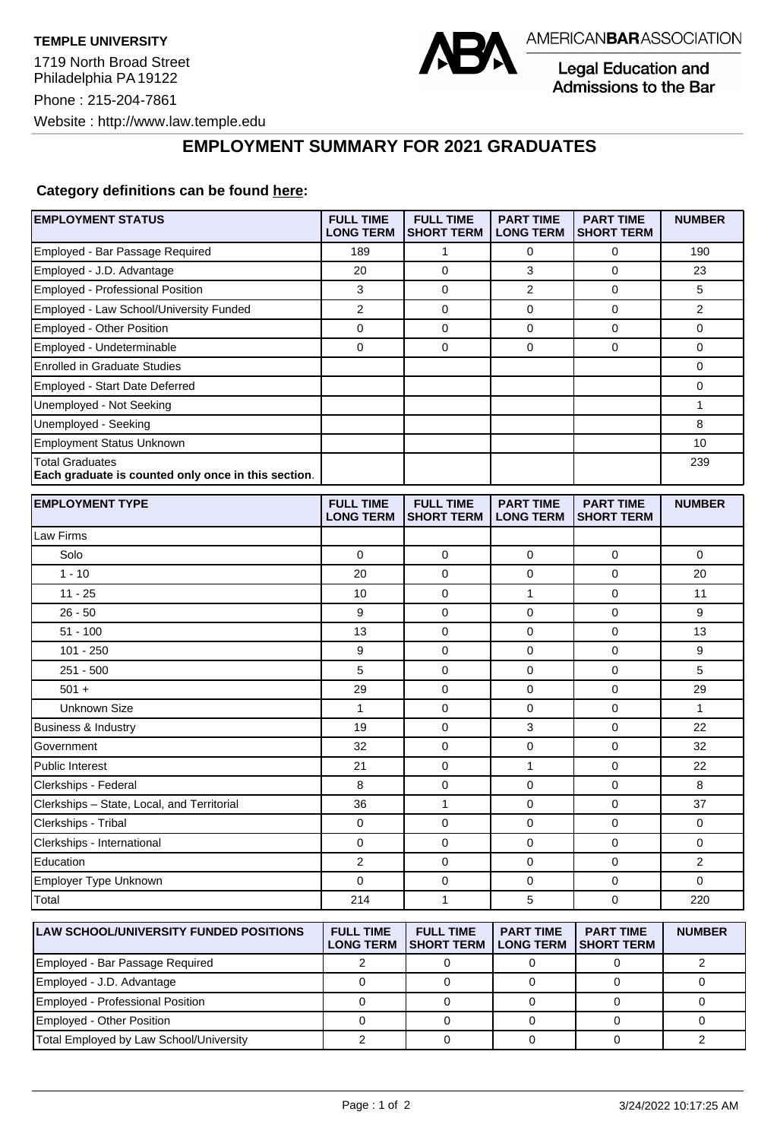

Legal Education and **Admissions to the Bar** 

## **EMPLOYMENT SUMMARY FOR 2021 GRADUATES**

## **Category definitions can be found here:**

| 189<br>20<br>3<br>$\overline{2}$<br>0<br>$\overline{0}$ | 1<br>$\mathbf 0$<br>$\mathbf 0$<br>$\mathbf 0$<br>$\mathbf 0$ | 0<br>3<br>$\overline{2}$<br>$\mathbf 0$ | $\mathbf 0$<br>$\mathbf 0$<br>$\mathbf 0$<br>$\mathbf 0$ | 190<br>23<br>5 |
|---------------------------------------------------------|---------------------------------------------------------------|-----------------------------------------|----------------------------------------------------------|----------------|
|                                                         |                                                               |                                         |                                                          |                |
|                                                         |                                                               |                                         |                                                          |                |
|                                                         |                                                               |                                         |                                                          |                |
|                                                         |                                                               |                                         |                                                          | $\overline{2}$ |
|                                                         |                                                               | $\mathbf 0$                             | $\mathbf 0$                                              | 0              |
|                                                         |                                                               | $\Omega$                                | $\Omega$                                                 | 0              |
|                                                         |                                                               |                                         |                                                          | 0              |
|                                                         |                                                               |                                         |                                                          | 0              |
|                                                         |                                                               |                                         |                                                          | $\mathbf{1}$   |
|                                                         |                                                               |                                         |                                                          | 8              |
|                                                         |                                                               |                                         |                                                          | 10             |
|                                                         |                                                               |                                         |                                                          | 239            |
| <b>FULL TIME</b><br><b>LONG TERM</b>                    | <b>FULL TIME</b><br><b>SHORT TERM</b>                         | <b>PART TIME</b><br><b>LONG TERM</b>    | <b>PART TIME</b><br><b>SHORT TERM</b>                    | <b>NUMBER</b>  |
|                                                         |                                                               |                                         |                                                          |                |
| $\mathbf 0$                                             | $\mathbf 0$                                                   | $\mathbf 0$                             | $\mathbf 0$                                              | 0              |
| 20                                                      | $\mathbf 0$                                                   | 0                                       | $\mathbf 0$                                              | 20             |
| 10                                                      | $\mathbf 0$                                                   | $\mathbf{1}$                            | $\mathbf 0$                                              | 11             |
| 9                                                       | $\mathbf 0$                                                   | $\mathbf 0$                             | $\mathbf 0$                                              | 9              |
| 13                                                      | $\mathbf 0$                                                   | $\mathbf 0$                             | $\mathbf 0$                                              | 13             |
| 9                                                       | $\mathbf 0$                                                   | $\mathbf 0$                             | $\mathbf 0$                                              | 9              |
| 5                                                       | $\mathbf 0$                                                   | $\mathbf 0$                             | $\mathbf 0$                                              | 5              |
| 29                                                      | $\overline{0}$                                                | 0                                       | $\mathbf 0$                                              | 29             |
| $\mathbf{1}$                                            | $\mathbf 0$                                                   | 0                                       | 0                                                        | 1              |
| 19                                                      | $\mathbf 0$                                                   | 3                                       | $\mathbf 0$                                              | 22             |
| 32                                                      | $\mathbf 0$                                                   | $\mathbf 0$                             | $\mathbf 0$                                              | 32             |
| 21                                                      | $\mathbf 0$                                                   | $\mathbf{1}$                            | $\mathbf 0$                                              | 22             |
| 8                                                       | 0                                                             | 0                                       | 0                                                        | 8              |
| 36                                                      | $\mathbf{1}$                                                  | 0                                       | $\mathbf 0$                                              | 37             |
| 0                                                       | $\mathbf 0$                                                   | 0                                       | $\mathbf 0$                                              | 0              |
| 0                                                       | $\mathbf 0$                                                   | 0                                       | $\mathbf 0$                                              | 0              |
| $\overline{2}$                                          | $\mathbf 0$                                                   | $\mathbf 0$                             | $\mathbf 0$                                              | $\overline{2}$ |
| 0                                                       | $\mathbf 0$                                                   | $\mathbf 0$                             | $\mathbf 0$                                              | $\overline{0}$ |
| 214                                                     | 1                                                             | 5                                       | $\mathbf 0$                                              | 220            |
| <b>FULL TIME</b><br><b>LONG TERM</b>                    | <b>FULL TIME</b><br><b>SHORT TERM</b>                         | <b>PART TIME</b><br><b>LONG TERM</b>    | <b>PART TIME</b><br><b>SHORT TERM</b>                    | <b>NUMBER</b>  |
|                                                         |                                                               | $\Omega$                                |                                                          |                |

|                                         | ILONG IERM ISHORI IERM ILONG IERM ISHORI IERM |  |  |
|-----------------------------------------|-----------------------------------------------|--|--|
| Employed - Bar Passage Required         |                                               |  |  |
| Employed - J.D. Advantage               |                                               |  |  |
| Employed - Professional Position        |                                               |  |  |
| Employed - Other Position               |                                               |  |  |
| Total Employed by Law School/University |                                               |  |  |